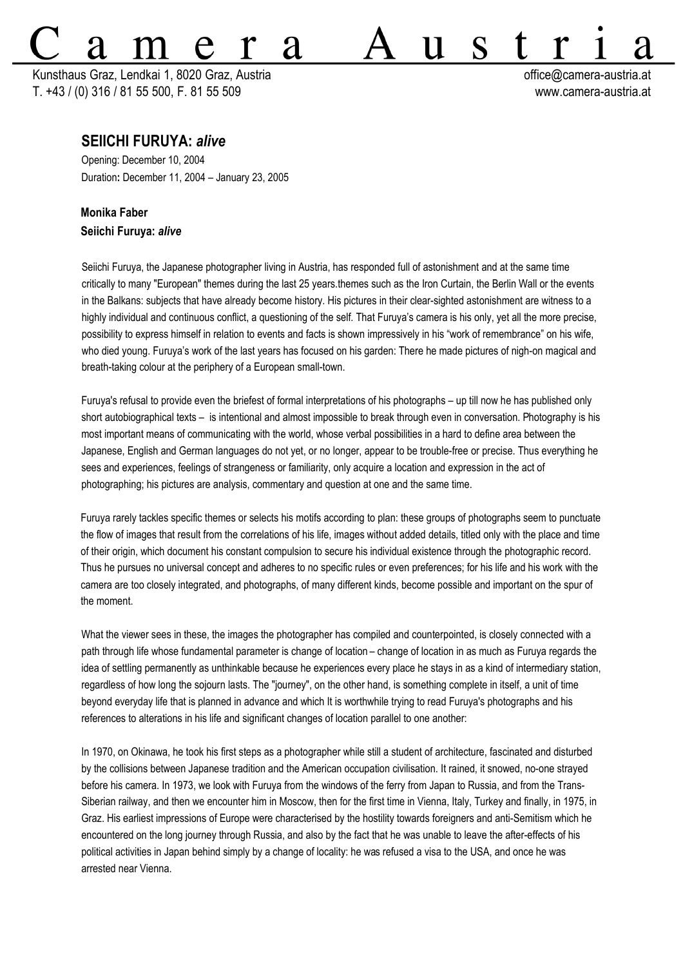## $\mathbf S$ A Kunsthaus Graz, Lendkai 1, 8020 Graz, Austria **bei austria change austria change austria** et control office@camera-austria.at

T. +43 / (0) 316 / 81 55 500, F. 81 55 509 www.camera-austria.at

## **SEIICHI FURUYA:** *alive*

Opening: December 10, 2004 Duration**:** December 11, 2004 – January 23, 2005

## **Monika Faber Seiichi Furuya:** *alive*

Seiichi Furuya, the Japanese photographer living in Austria, has responded full of astonishment and at the same time critically to many "European" themes during the last 25 years.themes such as the Iron Curtain, the Berlin Wall or the events in the Balkans: subjects that have already become history. His pictures in their clear-sighted astonishment are witness to a highly individual and continuous conflict, a questioning of the self. That Furuya's camera is his only, yet all the more precise, possibility to express himself in relation to events and facts is shown impressively in his "work of remembrance" on his wife, who died young. Furuya's work of the last years has focused on his garden: There he made pictures of nigh-on magical and breath-taking colour at the periphery of a European small-town.

Furuya's refusal to provide even the briefest of formal interpretations of his photographs – up till now he has published only short autobiographical texts – is intentional and almost impossible to break through even in conversation. Photography is his most important means of communicating with the world, whose verbal possibilities in a hard to define area between the Japanese, English and German languages do not yet, or no longer, appear to be trouble-free or precise. Thus everything he sees and experiences, feelings of strangeness or familiarity, only acquire a location and expression in the act of photographing; his pictures are analysis, commentary and question at one and the same time.

Furuya rarely tackles specific themes or selects his motifs according to plan: these groups of photographs seem to punctuate the flow of images that result from the correlations of his life, images without added details, titled only with the place and time of their origin, which document his constant compulsion to secure his individual existence through the photographic record. Thus he pursues no universal concept and adheres to no specific rules or even preferences; for his life and his work with the camera are too closely integrated, and photographs, of many different kinds, become possible and important on the spur of the moment.

What the viewer sees in these, the images the photographer has compiled and counterpointed, is closely connected with a path through life whose fundamental parameter is change of location – change of location in as much as Furuya regards the idea of settling permanently as unthinkable because he experiences every place he stays in as a kind of intermediary station, regardless of how long the sojourn lasts. The "journey", on the other hand, is something complete in itself, a unit of time beyond everyday life that is planned in advance and which It is worthwhile trying to read Furuya's photographs and his references to alterations in his life and significant changes of location parallel to one another:

In 1970, on Okinawa, he took his first steps as a photographer while still a student of architecture, fascinated and disturbed by the collisions between Japanese tradition and the American occupation civilisation. It rained, it snowed, no-one strayed before his camera. In 1973, we look with Furuya from the windows of the ferry from Japan to Russia, and from the Trans-Siberian railway, and then we encounter him in Moscow, then for the first time in Vienna, Italy, Turkey and finally, in 1975, in Graz. His earliest impressions of Europe were characterised by the hostility towards foreigners and anti-Semitism which he encountered on the long journey through Russia, and also by the fact that he was unable to leave the after-effects of his political activities in Japan behind simply by a change of locality: he was refused a visa to the USA, and once he was arrested near Vienna.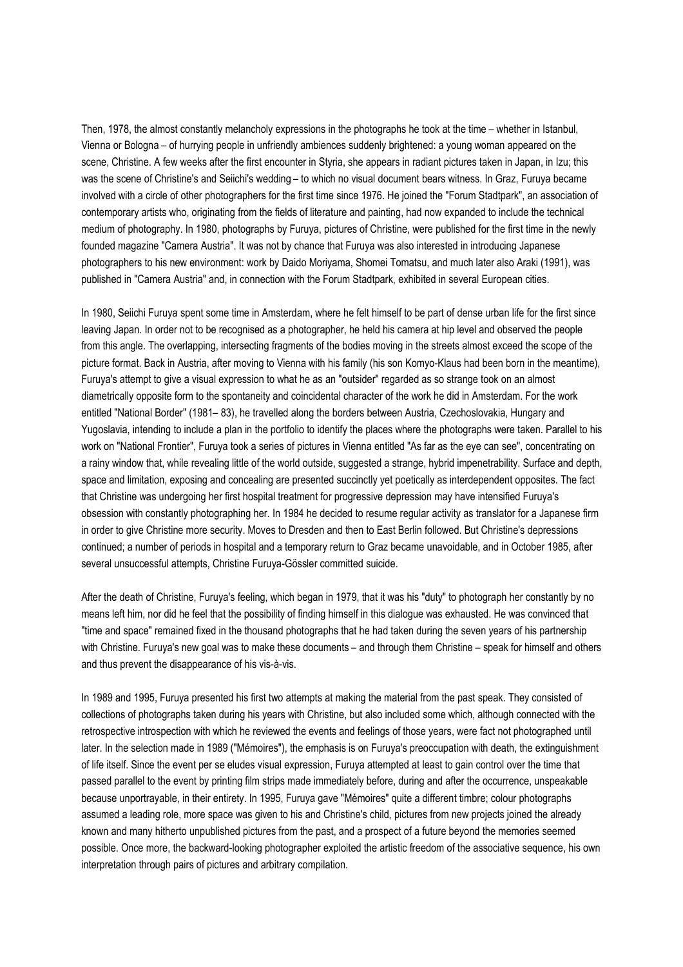Then, 1978, the almost constantly melancholy expressions in the photographs he took at the time – whether in Istanbul, Vienna or Bologna – of hurrying people in unfriendly ambiences suddenly brightened: a young woman appeared on the scene, Christine. A few weeks after the first encounter in Styria, she appears in radiant pictures taken in Japan, in Izu; this was the scene of Christine's and Seiichi's wedding – to which no visual document bears witness. In Graz, Furuya became involved with a circle of other photographers for the first time since 1976. He joined the "Forum Stadtpark", an association of contemporary artists who, originating from the fields of literature and painting, had now expanded to include the technical medium of photography. In 1980, photographs by Furuya, pictures of Christine, were published for the first time in the newly founded magazine "Camera Austria". It was not by chance that Furuya was also interested in introducing Japanese photographers to his new environment: work by Daido Moriyama, Shomei Tomatsu, and much later also Araki (1991), was published in "Camera Austria" and, in connection with the Forum Stadtpark, exhibited in several European cities.

In 1980, Seiichi Furuya spent some time in Amsterdam, where he felt himself to be part of dense urban life for the first since leaving Japan. In order not to be recognised as a photographer, he held his camera at hip level and observed the people from this angle. The overlapping, intersecting fragments of the bodies moving in the streets almost exceed the scope of the picture format. Back in Austria, after moving to Vienna with his family (his son Komyo-Klaus had been born in the meantime), Furuya's attempt to give a visual expression to what he as an "outsider" regarded as so strange took on an almost diametrically opposite form to the spontaneity and coincidental character of the work he did in Amsterdam. For the work entitled "National Border" (1981– 83), he travelled along the borders between Austria, Czechoslovakia, Hungary and Yugoslavia, intending to include a plan in the portfolio to identify the places where the photographs were taken. Parallel to his work on "National Frontier", Furuya took a series of pictures in Vienna entitled "As far as the eye can see", concentrating on a rainy window that, while revealing little of the world outside, suggested a strange, hybrid impenetrability. Surface and depth, space and limitation, exposing and concealing are presented succinctly yet poetically as interdependent opposites. The fact that Christine was undergoing her first hospital treatment for progressive depression may have intensified Furuya's obsession with constantly photographing her. In 1984 he decided to resume regular activity as translator for a Japanese firm in order to give Christine more security. Moves to Dresden and then to East Berlin followed. But Christine's depressions continued; a number of periods in hospital and a temporary return to Graz became unavoidable, and in October 1985, after several unsuccessful attempts, Christine Furuya-Gössler committed suicide.

After the death of Christine, Furuya's feeling, which began in 1979, that it was his "duty" to photograph her constantly by no means left him, nor did he feel that the possibility of finding himself in this dialogue was exhausted. He was convinced that "time and space" remained fixed in the thousand photographs that he had taken during the seven years of his partnership with Christine. Furuya's new goal was to make these documents – and through them Christine – speak for himself and others and thus prevent the disappearance of his vis-à-vis.

In 1989 and 1995, Furuya presented his first two attempts at making the material from the past speak. They consisted of collections of photographs taken during his years with Christine, but also included some which, although connected with the retrospective introspection with which he reviewed the events and feelings of those years, were fact not photographed until later. In the selection made in 1989 ("Mémoires"), the emphasis is on Furuya's preoccupation with death, the extinguishment of life itself. Since the event per se eludes visual expression, Furuya attempted at least to gain control over the time that passed parallel to the event by printing film strips made immediately before, during and after the occurrence, unspeakable because unportrayable, in their entirety. In 1995, Furuya gave "Mémoires" quite a different timbre; colour photographs assumed a leading role, more space was given to his and Christine's child, pictures from new projects joined the already known and many hitherto unpublished pictures from the past, and a prospect of a future beyond the memories seemed possible. Once more, the backward-looking photographer exploited the artistic freedom of the associative sequence, his own interpretation through pairs of pictures and arbitrary compilation.